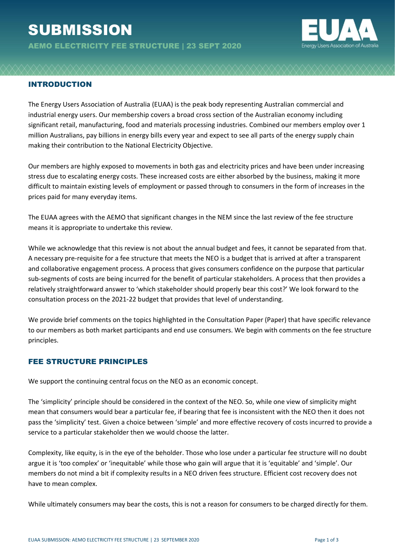# **SUBMISSION**

AEMO ELECTRICITY FEE STRUCTURE | 23 SEPT 2020



### INTRODUCTION

The Energy Users Association of Australia (EUAA) is the peak body representing Australian commercial and industrial energy users. Our membership covers a broad cross section of the Australian economy including significant retail, manufacturing, food and materials processing industries. Combined our members employ over 1 million Australians, pay billions in energy bills every year and expect to see all parts of the energy supply chain making their contribution to the National Electricity Objective.

Our members are highly exposed to movements in both gas and electricity prices and have been under increasing stress due to escalating energy costs. These increased costs are either absorbed by the business, making it more difficult to maintain existing levels of employment or passed through to consumers in the form of increases in the prices paid for many everyday items.

The EUAA agrees with the AEMO that significant changes in the NEM since the last review of the fee structure means it is appropriate to undertake this review.

While we acknowledge that this review is not about the annual budget and fees, it cannot be separated from that. A necessary pre-requisite for a fee structure that meets the NEO is a budget that is arrived at after a transparent and collaborative engagement process. A process that gives consumers confidence on the purpose that particular sub-segments of costs are being incurred for the benefit of particular stakeholders. A process that then provides a relatively straightforward answer to 'which stakeholder should properly bear this cost?' We look forward to the consultation process on the 2021-22 budget that provides that level of understanding.

We provide brief comments on the topics highlighted in the Consultation Paper (Paper) that have specific relevance to our members as both market participants and end use consumers. We begin with comments on the fee structure principles.

#### FEE STRUCTURE PRINCIPLES

We support the continuing central focus on the NEO as an economic concept.

The 'simplicity' principle should be considered in the context of the NEO. So, while one view of simplicity might mean that consumers would bear a particular fee, if bearing that fee is inconsistent with the NEO then it does not pass the 'simplicity' test. Given a choice between 'simple' and more effective recovery of costs incurred to provide a service to a particular stakeholder then we would choose the latter.

Complexity, like equity, is in the eye of the beholder. Those who lose under a particular fee structure will no doubt argue it is 'too complex' or 'inequitable' while those who gain will argue that it is 'equitable' and 'simple'. Our members do not mind a bit if complexity results in a NEO driven fees structure. Efficient cost recovery does not have to mean complex.

While ultimately consumers may bear the costs, this is not a reason for consumers to be charged directly for them.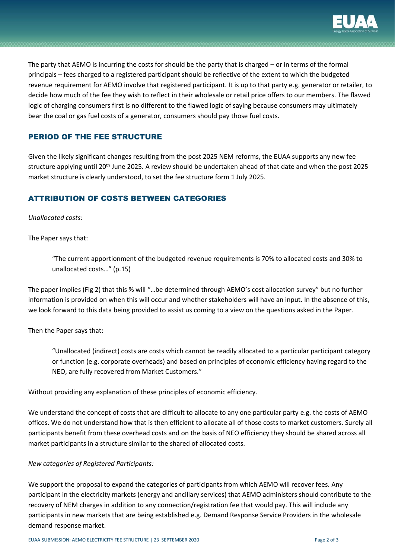

The party that AEMO is incurring the costs for should be the party that is charged – or in terms of the formal principals – fees charged to a registered participant should be reflective of the extent to which the budgeted revenue requirement for AEMO involve that registered participant. It is up to that party e.g. generator or retailer, to decide how much of the fee they wish to reflect in their wholesale or retail price offers to our members. The flawed logic of charging consumers first is no different to the flawed logic of saying because consumers may ultimately bear the coal or gas fuel costs of a generator, consumers should pay those fuel costs.

## PERIOD OF THE FEE STRUCTURE

Given the likely significant changes resulting from the post 2025 NEM reforms, the EUAA supports any new fee structure applying until 20<sup>th</sup> June 2025. A review should be undertaken ahead of that date and when the post 2025 market structure is clearly understood, to set the fee structure form 1 July 2025.

## ATTRIBUTION OF COSTS BETWEEN CATEGORIES

#### *Unallocated costs:*

The Paper says that:

"The current apportionment of the budgeted revenue requirements is 70% to allocated costs and 30% to unallocated costs…" (p.15)

The paper implies (Fig 2) that this % will "…be determined through AEMO's cost allocation survey" but no further information is provided on when this will occur and whether stakeholders will have an input. In the absence of this, we look forward to this data being provided to assist us coming to a view on the questions asked in the Paper.

Then the Paper says that:

"Unallocated (indirect) costs are costs which cannot be readily allocated to a particular participant category or function (e.g. corporate overheads) and based on principles of economic efficiency having regard to the NEO, are fully recovered from Market Customers."

Without providing any explanation of these principles of economic efficiency.

We understand the concept of costs that are difficult to allocate to any one particular party e.g. the costs of AEMO offices. We do not understand how that is then efficient to allocate all of those costs to market customers. Surely all participants benefit from these overhead costs and on the basis of NEO efficiency they should be shared across all market participants in a structure similar to the shared of allocated costs.

#### *New categories of Registered Participants:*

We support the proposal to expand the categories of participants from which AEMO will recover fees. Any participant in the electricity markets (energy and ancillary services) that AEMO administers should contribute to the recovery of NEM charges in addition to any connection/registration fee that would pay. This will include any participants in new markets that are being established e.g. Demand Response Service Providers in the wholesale demand response market.